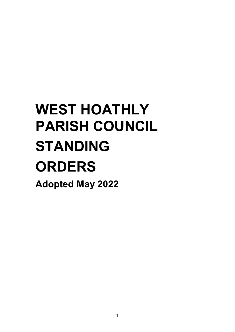# **WEST HOATHLY PARISH COUNCIL STANDING ORDERS Adopted May 2022**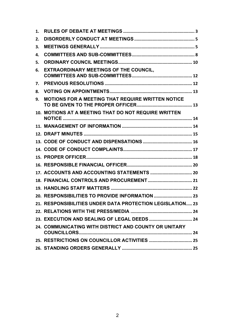| 1. |                                                           |  |
|----|-----------------------------------------------------------|--|
| 2. |                                                           |  |
| 3. |                                                           |  |
| 4. |                                                           |  |
| 5. |                                                           |  |
| 6. | <b>EXTRAORDINARY MEETINGS OF THE COUNCIL,</b>             |  |
| 7. |                                                           |  |
| 8. |                                                           |  |
| 9. | MOTIONS FOR A MEETING THAT REQUIRE WRITTEN NOTICE         |  |
|    | 10. MOTIONS AT A MEETING THAT DO NOT REQUIRE WRITTEN      |  |
|    |                                                           |  |
|    |                                                           |  |
|    |                                                           |  |
|    |                                                           |  |
|    |                                                           |  |
|    |                                                           |  |
|    |                                                           |  |
|    |                                                           |  |
|    |                                                           |  |
|    |                                                           |  |
|    | 21. RESPONSIBILITIES UNDER DATA PROTECTION LEGISLATION 23 |  |
|    |                                                           |  |
|    |                                                           |  |
|    | 24. COMMUNICATING WITH DISTRICT AND COUNTY OR UNITARY     |  |
|    |                                                           |  |
|    |                                                           |  |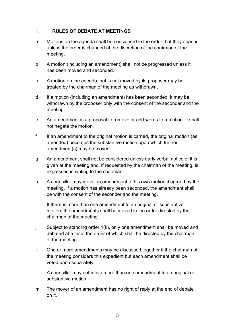# <span id="page-2-0"></span>1. **RULES OF DEBATE AT MEETINGS**

- a Motions on the agenda shall be considered in the order that they appear unless the order is changed at the discretion of the chairman of the meeting.
- b A motion (including an amendment) shall not be progressed unless it has been moved and seconded.
- c A motion on the agenda that is not moved by its proposer may be treated by the chairman of the meeting as withdrawn.
- d If a motion (including an amendment) has been seconded, it may be withdrawn by the proposer only with the consent of the seconder and the meeting.
- e An amendment is a proposal to remove or add words to a motion. It shall not negate the motion.
- f If an amendment to the original motion is carried, the original motion (as amended) becomes the substantive motion upon which further amendment(s) may be moved.
- g An amendment shall not be considered unless early verbal notice of it is given at the meeting and, if requested by the chairman of the meeting, is expressed in writing to the chairman.
- h A councillor may move an amendment to his own motion if agreed by the meeting. If a motion has already been seconded, the amendment shall be with the consent of the seconder and the meeting.
- i If there is more than one amendment to an original or substantive motion, the amendments shall be moved in the order directed by the chairman of the meeting.
- j Subject to standing order 1(k), only one amendment shall be moved and debated at a time, the order of which shall be directed by the chairman of the meeting.
- k One or more amendments may be discussed together if the chairman of the meeting considers this expedient but each amendment shall be voted upon separately.
- l A councillor may not move more than one amendment to an original or substantive motion.
- m The mover of an amendment has no right of reply at the end of debate on it.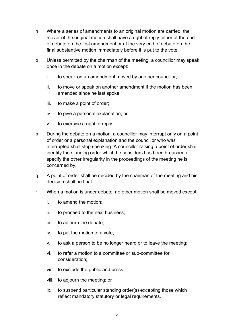- n Where a series of amendments to an original motion are carried, the mover of the original motion shall have a right of reply either at the end of debate on the first amendment or at the very end of debate on the final substantive motion immediately before it is put to the vote.
- o Unless permitted by the chairman of the meeting, a councillor may speak once in the debate on a motion except:
	- i. to speak on an amendment moved by another councillor;
	- ii. to move or speak on another amendment if the motion has been amended since he last spoke;
	- iii. to make a point of order;
	- iv. to give a personal explanation; or
	- v. to exercise a right of reply.
- p During the debate on a motion, a councillor may interrupt only on a point of order or a personal explanation and the councillor who was interrupted shall stop speaking. A councillor raising a point of order shall identify the standing order which he considers has been breached or specify the other irregularity in the proceedings of the meeting he is concerned by.
- q A point of order shall be decided by the chairman of the meeting and his decision shall be final.
- r When a motion is under debate, no other motion shall be moved except:
	- i. to amend the motion;
	- ii. to proceed to the next business;
	- iii. to adjourn the debate;
	- iv. to put the motion to a vote;
	- v. to ask a person to be no longer heard or to leave the meeting;
	- vi. to refer a motion to a committee or sub-committee for consideration;
	- vii. to exclude the public and press;
	- viii. to adjourn the meeting; or
	- ix. to suspend particular standing order(s) excepting those which reflect mandatory statutory or legal requirements.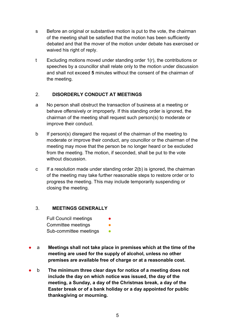- s Before an original or substantive motion is put to the vote, the chairman of the meeting shall be satisfied that the motion has been sufficiently debated and that the mover of the motion under debate has exercised or waived his right of reply.
- t Excluding motions moved under standing order 1(r), the contributions or speeches by a councillor shall relate only to the motion under discussion and shall not exceed **5** minutes without the consent of the chairman of the meeting.

# <span id="page-4-0"></span>2. **DISORDERLY CONDUCT AT MEETINGS**

- a No person shall obstruct the transaction of business at a meeting or behave offensively or improperly. If this standing order is ignored, the chairman of the meeting shall request such person(s) to moderate or improve their conduct.
- b If person(s) disregard the request of the chairman of the meeting to moderate or improve their conduct, any councillor or the chairman of the meeting may move that the person be no longer heard or be excluded from the meeting. The motion, if seconded, shall be put to the vote without discussion
- c If a resolution made under standing order 2(b) is ignored, the chairman of the meeting may take further reasonable steps to restore order or to progress the meeting. This may include temporarily suspending or closing the meeting.

#### <span id="page-4-1"></span>3. **MEETINGS GENERALLY**

Full Council meetings Committee meetings Sub-committee meetings **•** 

- a **Meetings shall not take place in premises which at the time of the meeting are used for the supply of alcohol, unless no other premises are available free of charge or at a reasonable cost.**
- b **The minimum three clear days for notice of a meeting does not include the day on which notice was issued, the day of the meeting, a Sunday, a day of the Christmas break, a day of the Easter break or of a bank holiday or a day appointed for public thanksgiving or mourning.**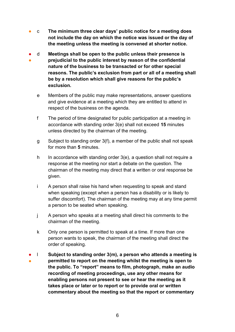- c **The minimum three clear days' public notice for a meeting does not include the day on which the notice was issued or the day of the meeting unless the meeting is convened at shorter notice.**
- ● d **Meetings shall be open to the public unless their presence is prejudicial to the public interest by reason of the confidential nature of the business to be transacted or for other special reasons. The public's exclusion from part or all of a meeting shall be by a resolution which shall give reasons for the public's exclusion.**
	- e Members of the public may make representations, answer questions and give evidence at a meeting which they are entitled to attend in respect of the business on the agenda.
	- f The period of time designated for public participation at a meeting in accordance with standing order 3(e) shall not exceed **15** minutes unless directed by the chairman of the meeting.
	- g Subject to standing order 3(f), a member of the public shall not speak for more than **5** minutes.
	- h In accordance with standing order  $3(e)$ , a question shall not require a response at the meeting nor start a debate on the question. The chairman of the meeting may direct that a written or oral response be given.
	- i A person shall raise his hand when requesting to speak and stand when speaking (except when a person has a disability or is likely to suffer discomfort). The chairman of the meeting may at any time permit a person to be seated when speaking.
	- j A person who speaks at a meeting shall direct his comments to the chairman of the meeting.
	- k Only one person is permitted to speak at a time. If more than one person wants to speak, the chairman of the meeting shall direct the order of speaking.
- 。<br>● l **Subject to standing order 3(m), a person who attends a meeting is permitted to report on the meeting whilst the meeting is open to the public. To "report" means to film, photograph, make an audio recording of meeting proceedings, use any other means for enabling persons not present to see or hear the meeting as it takes place or later or to report or to provide oral or written commentary about the meeting so that the report or commentary**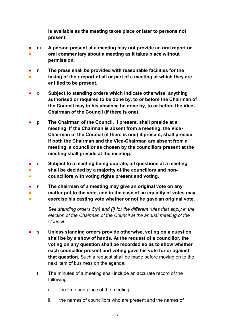**is available as the meeting takes place or later to persons not present.**

- ● m **A person present at a meeting may not provide an oral report or oral commentary about a meeting as it takes place without permission.**
- ● n **The press shall be provided with reasonable facilities for the taking of their report of all or part of a meeting at which they are entitled to be present.**
- o **Subject to standing orders which indicate otherwise, anything authorised or required to be done by, to or before the Chairman of the Council may in his absence be done by, to or before the Vice-Chairman of the Council (if there is one).**
- p **The Chairman of the Council, if present, shall preside at a meeting. If the Chairman is absent from a meeting, the Vice-Chairman of the Council (if there is one) if present, shall preside. If both the Chairman and the Vice-Chairman are absent from a meeting, a councillor as chosen by the councillors present at the meeting shall preside at the meeting.**
- q **Subject to a meeting being quorate, all questions at a meeting**
- **shall be decided by a majority of the councillors and non-**
- **councillors with voting rights present and voting.**
- r **The chairman of a meeting may give an original vote on any**
- **matter put to the vote, and in the case of an equality of votes may**
- **exercise his casting vote whether or not he gave an original vote.**

*See standing orders 5(h) and (i) for the different rules that apply in the election of the Chairman of the Council at the annual meeting of the Council.*

- s Unless standing orders provide otherwise, voting on a question **shall be by a show of hands. At the request of a councillor, the voting on any question shall be recorded so as to show whether each councillor present and voting gave his vote for or against that question.** Such a request shall be made before moving on to the next item of business on the agenda.
	- t The minutes of a meeting shall include an accurate record of the following:
		- i. the time and place of the meeting;
		- ii. the names of councillors who are present and the names of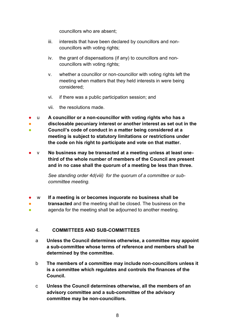councillors who are absent;

- iii. interests that have been declared by councillors and noncouncillors with voting rights;
- iv. the grant of dispensations (if any) to councillors and noncouncillors with voting rights;
- v. whether a councillor or non-councillor with voting rights left the meeting when matters that they held interests in were being considered;
- vi. if there was a public participation session; and
- vii. the resolutions made.
- u **A councillor or a non-councillor with voting rights who has a**
- **disclosable pecuniary interest or another interest as set out in the**
- **Council's code of conduct in a matter being considered at a meeting is subject to statutory limitations or restrictions under the code on his right to participate and vote on that matter.**
- v No business may be transacted at a meeting unless at least one**third of the whole number of members of the Council are present and in no case shall the quorum of a meeting be less than three.**

*See standing order 4d(viii) for the quorum of a committee or subcommittee meeting.* 

- w **If a meeting is or becomes inquorate no business shall be**
- ● **transacted** and the meeting shall be closed. The business on the agenda for the meeting shall be adjourned to another meeting.

# <span id="page-7-0"></span>4. **COMMITTEES AND SUB-COMMITTEES**

- a **Unless the Council determines otherwise, a committee may appoint a sub-committee whose terms of reference and members shall be determined by the committee.**
- b **The members of a committee may include non-councillors unless it is a committee which regulates and controls the finances of the Council.**
- c **Unless the Council determines otherwise, all the members of an advisory committee and a sub-committee of the advisory committee may be non-councillors.**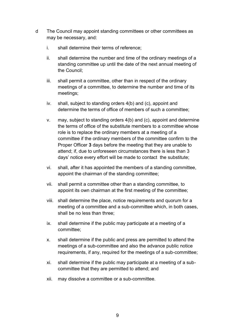- d The Council may appoint standing committees or other committees as may be necessary, and:
	- i. shall determine their terms of reference;
	- ii. shall determine the number and time of the ordinary meetings of a standing committee up until the date of the next annual meeting of the Council;
	- iii. shall permit a committee, other than in respect of the ordinary meetings of a committee, to determine the number and time of its meetings;
	- iv. shall, subject to standing orders 4(b) and (c), appoint and determine the terms of office of members of such a committee;
	- v. may, subject to standing orders 4(b) and (c), appoint and determine the terms of office of the substitute members to a committee whose role is to replace the ordinary members at a meeting of a committee if the ordinary members of the committee confirm to the Proper Officer **3** days before the meeting that they are unable to attend; if, due to unforeseen circumstances there is less than 3 days' notice every effort will be made to contact the substitute;
	- vi. shall, after it has appointed the members of a standing committee, appoint the chairman of the standing committee;
	- vii. shall permit a committee other than a standing committee, to appoint its own chairman at the first meeting of the committee;
	- viii. shall determine the place, notice requirements and quorum for a meeting of a committee and a sub-committee which, in both cases, shall be no less than three;
	- ix. shall determine if the public may participate at a meeting of a committee;
	- x. shall determine if the public and press are permitted to attend the meetings of a sub-committee and also the advance public notice requirements, if any, required for the meetings of a sub-committee;
	- xi. shall determine if the public may participate at a meeting of a subcommittee that they are permitted to attend; and
	- xii. may dissolve a committee or a sub-committee.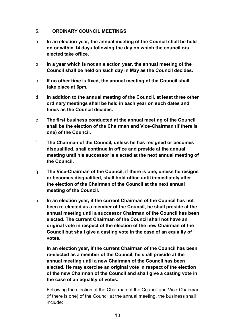#### <span id="page-9-0"></span>5. **ORDINARY COUNCIL MEETINGS**

- a **In an election year, the annual meeting of the Council shall be held on or within 14 days following the day on which the councillors elected take office.**
- b **In a year which is not an election year, the annual meeting of the Council shall be held on such day in May as the Council decides.**
- c **If no other time is fixed, the annual meeting of the Council shall take place at 6pm.**
- d **In addition to the annual meeting of the Council, at least three other ordinary meetings shall be held in each year on such dates and times as the Council decides.**
- e **The first business conducted at the annual meeting of the Council shall be the election of the Chairman and Vice-Chairman (if there is one) of the Council.**
- f **The Chairman of the Council, unless he has resigned or becomes disqualified, shall continue in office and preside at the annual meeting until his successor is elected at the next annual meeting of the Council.**
- g **The Vice-Chairman of the Council, if there is one, unless he resigns or becomes disqualified, shall hold office until immediately after the election of the Chairman of the Council at the next annual meeting of the Council.**
- h **In an election year, if the current Chairman of the Council has not been re-elected as a member of the Council, he shall preside at the annual meeting until a successor Chairman of the Council has been elected. The current Chairman of the Council shall not have an original vote in respect of the election of the new Chairman of the Council but shall give a casting vote in the case of an equality of votes.**
- i **In an election year, if the current Chairman of the Council has been re-elected as a member of the Council, he shall preside at the annual meeting until a new Chairman of the Council has been elected. He may exercise an original vote in respect of the election of the new Chairman of the Council and shall give a casting vote in the case of an equality of votes.**
- j Following the election of the Chairman of the Council and Vice-Chairman (if there is one) of the Council at the annual meeting, the business shall include: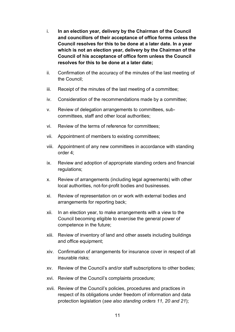- i. **In an election year, delivery by the Chairman of the Council and councillors of their acceptance of office forms unless the Council resolves for this to be done at a later date. In a year which is not an election year, delivery by the Chairman of the Council of his acceptance of office form unless the Council resolves for this to be done at a later date;**
- ii. Confirmation of the accuracy of the minutes of the last meeting of the Council;
- iii. Receipt of the minutes of the last meeting of a committee;
- iv. Consideration of the recommendations made by a committee;
- v. Review of delegation arrangements to committees, subcommittees, staff and other local authorities;
- vi. Review of the terms of reference for committees;
- vii. Appointment of members to existing committees;
- viii. Appointment of any new committees in accordance with standing order 4;
- ix. Review and adoption of appropriate standing orders and financial regulations;
- x. Review of arrangements (including legal agreements) with other local authorities, not-for-profit bodies and businesses.
- xi. Review of representation on or work with external bodies and arrangements for reporting back;
- xii. In an election year, to make arrangements with a view to the Council becoming eligible to exercise the general power of competence in the future;
- xiii. Review of inventory of land and other assets including buildings and office equipment;
- xiv. Confirmation of arrangements for insurance cover in respect of all insurable risks;
- xv. Review of the Council's and/or staff subscriptions to other bodies;
- xvi. Review of the Council's complaints procedure;
- xvii. Review of the Council's policies, procedures and practices in respect of its obligations under freedom of information and data protection legislation (*see also standing orders 11, 20 and 21*);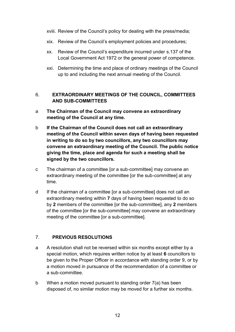- xviii. Review of the Council's policy for dealing with the press/media;
- xix. Review of the Council's employment policies and procedures;
- xx. Review of the Council's expenditure incurred under s.137 of the Local Government Act 1972 or the general power of competence.
- xxi. Determining the time and place of ordinary meetings of the Council up to and including the next annual meeting of the Council.

# <span id="page-11-0"></span>6. **EXTRAORDINARY MEETINGS OF THE COUNCIL, COMMITTEES AND SUB-COMMITTEES**

- a **The Chairman of the Council may convene an extraordinary meeting of the Council at any time.**
- b **If the Chairman of the Council does not call an extraordinary meeting of the Council within seven days of having been requested in writing to do so by two councillors, any two councillors may convene an extraordinary meeting of the Council. The public notice giving the time, place and agenda for such a meeting shall be signed by the two councillors.**
- c The chairman of a committee [or a sub-committee] may convene an extraordinary meeting of the committee [or the sub-committee] at any time.
- d If the chairman of a committee [or a sub-committee] does not call an extraordinary meeting within **7** days of having been requested to do so by **2** members of the committee [or the sub-committee], any **2** members of the committee [or the sub-committee] may convene an extraordinary meeting of the committee [or a sub-committee].

#### <span id="page-11-1"></span>7. **PREVIOUS RESOLUTIONS**

- a A resolution shall not be reversed within six months except either by a special motion, which requires written notice by at least **6** councillors to be given to the Proper Officer in accordance with standing order 9, or by a motion moved in pursuance of the recommendation of a committee or a sub-committee.
- b When a motion moved pursuant to standing order 7(a) has been disposed of, no similar motion may be moved for a further six months.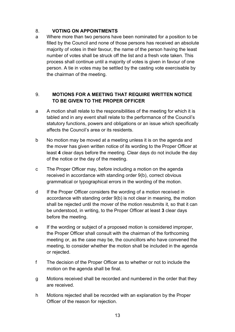#### <span id="page-12-0"></span>8. **VOTING ON APPOINTMENTS**

a Where more than two persons have been nominated for a position to be filled by the Council and none of those persons has received an absolute majority of votes in their favour, the name of the person having the least number of votes shall be struck off the list and a fresh vote taken. This process shall continue until a majority of votes is given in favour of one person. A tie in votes may be settled by the casting vote exercisable by the chairman of the meeting.

# <span id="page-12-1"></span>9. **MOTIONS FOR A MEETING THAT REQUIRE WRITTEN NOTICE TO BE GIVEN TO THE PROPER OFFICER**

- a A motion shall relate to the responsibilities of the meeting for which it is tabled and in any event shall relate to the performance of the Council's statutory functions, powers and obligations or an issue which specifically affects the Council's area or its residents.
- b No motion may be moved at a meeting unless it is on the agenda and the mover has given written notice of its wording to the Proper Officer at least **4** clear days before the meeting. Clear days do not include the day of the notice or the day of the meeting.
- c The Proper Officer may, before including a motion on the agenda received in accordance with standing order 9(b), correct obvious grammatical or typographical errors in the wording of the motion.
- d If the Proper Officer considers the wording of a motion received in accordance with standing order 9(b) is not clear in meaning, the motion shall be rejected until the mover of the motion resubmits it, so that it can be understood, in writing, to the Proper Officer at least **3** clear days before the meeting.
- e If the wording or subject of a proposed motion is considered improper, the Proper Officer shall consult with the chairman of the forthcoming meeting or, as the case may be, the councillors who have convened the meeting, to consider whether the motion shall be included in the agenda or rejected.
- f The decision of the Proper Officer as to whether or not to include the motion on the agenda shall be final.
- g Motions received shall be recorded and numbered in the order that they are received.
- h Motions rejected shall be recorded with an explanation by the Proper Officer of the reason for rejection.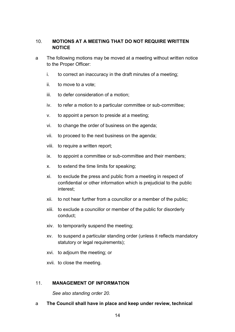# <span id="page-13-0"></span>10. **MOTIONS AT A MEETING THAT DO NOT REQUIRE WRITTEN NOTICE**

- a The following motions may be moved at a meeting without written notice to the Proper Officer:
	- i. to correct an inaccuracy in the draft minutes of a meeting;
	- ii. to move to a vote;
	- iii. to defer consideration of a motion;
	- iv. to refer a motion to a particular committee or sub-committee;
	- v. to appoint a person to preside at a meeting;
	- vi. to change the order of business on the agenda;
	- vii. to proceed to the next business on the agenda;
	- viii. to require a written report;
	- ix. to appoint a committee or sub-committee and their members;
	- x. to extend the time limits for speaking;
	- xi. to exclude the press and public from a meeting in respect of confidential or other information which is prejudicial to the public interest;
	- xii. to not hear further from a councillor or a member of the public;
	- xiii. to exclude a councillor or member of the public for disorderly conduct;
	- xiv. to temporarily suspend the meeting;
	- xv. to suspend a particular standing order (unless it reflects mandatory statutory or legal requirements);
	- xvi. to adjourn the meeting; or
	- xvii. to close the meeting.

#### <span id="page-13-1"></span>11. **MANAGEMENT OF INFORMATION**

*See also standing order 20.*

a **The Council shall have in place and keep under review, technical**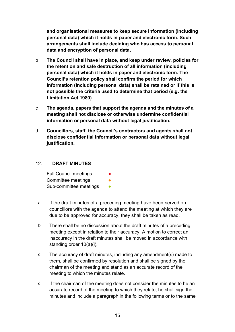**and organisational measures to keep secure information (including personal data) which it holds in paper and electronic form. Such arrangements shall include deciding who has access to personal data and encryption of personal data.**

- b **The Council shall have in place, and keep under review, policies for the retention and safe destruction of all information (including personal data) which it holds in paper and electronic form. The Council's retention policy shall confirm the period for which information (including personal data) shall be retained or if this is not possible the criteria used to determine that period (e.g. the Limitation Act 1980).**
- c **The agenda, papers that support the agenda and the minutes of a meeting shall not disclose or otherwise undermine confidential information or personal data without legal justification.**
- d **Councillors, staff, the Council's contractors and agents shall not disclose confidential information or personal data without legal justification.**

#### <span id="page-14-0"></span>12. **DRAFT MINUTES**

| <b>Full Council meetings</b> |  |
|------------------------------|--|
| Committee meetings           |  |
| Sub-committee meetings       |  |

- a If the draft minutes of a preceding meeting have been served on councillors with the agenda to attend the meeting at which they are due to be approved for accuracy, they shall be taken as read.
- b There shall be no discussion about the draft minutes of a preceding meeting except in relation to their accuracy. A motion to correct an inaccuracy in the draft minutes shall be moved in accordance with standing order 10(a)(i).
- c The accuracy of draft minutes, including any amendment(s) made to them, shall be confirmed by resolution and shall be signed by the chairman of the meeting and stand as an accurate record of the meeting to which the minutes relate.
- d If the chairman of the meeting does not consider the minutes to be an accurate record of the meeting to which they relate, he shall sign the minutes and include a paragraph in the following terms or to the same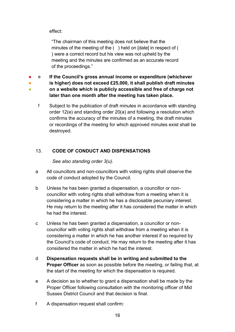effect:

●

"The chairman of this meeting does not believe that the minutes of the meeting of the ( ) held on [date] in respect of ( ) were a correct record but his view was not upheld by the meeting and the minutes are confirmed as an accurate record of the proceedings."

● e **If the Council's gross annual income or expenditure (whichever** 

● **is higher) does not exceed £25,000, it shall publish draft minutes** 

- **on a website which is publicly accessible and free of charge not later than one month after the meeting has taken place.**
	- f Subject to the publication of draft minutes in accordance with standing order 12(e) and standing order 20(a) and following a resolution which confirms the accuracy of the minutes of a meeting, the draft minutes or recordings of the meeting for which approved minutes exist shall be destroyed.

# <span id="page-15-0"></span>13. **CODE OF CONDUCT AND DISPENSATIONS**

*See also standing order 3(u).*

- a All councillors and non-councillors with voting rights shall observe the code of conduct adopted by the Council.
- b Unless he has been granted a dispensation, a councillor or noncouncillor with voting rights shall withdraw from a meeting when it is considering a matter in which he has a disclosable pecuniary interest. He may return to the meeting after it has considered the matter in which he had the interest.
- c Unless he has been granted a dispensation, a councillor or noncouncillor with voting rights shall withdraw from a meeting when it is considering a matter in which he has another interest if so required by the Council's code of conduct. He may return to the meeting after it has considered the matter in which he had the interest.
- d **Dispensation requests shall be in writing and submitted to the Proper Officer** as soon as possible before the meeting, or failing that, at the start of the meeting for which the dispensation is required.
- e A decision as to whether to grant a dispensation shall be made by the Proper Officer following consultation with the monitoring officer of Mid Sussex District Council and that decision is final.
- f A dispensation request shall confirm: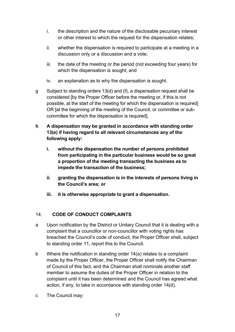- i. the description and the nature of the disclosable pecuniary interest or other interest to which the request for the dispensation relates;
- ii. whether the dispensation is required to participate at a meeting in a discussion only or a discussion and a vote;
- iii. the date of the meeting or the period (not exceeding four years) for which the dispensation is sought; and
- iv. an explanation as to why the dispensation is sought.
- g Subject to standing orders 13(d) and (f), a dispensation request shall be considered [by the Proper Officer before the meeting or, if this is not possible, at the start of the meeting for which the dispensation is required] OR [at the beginning of the meeting of the Council, or committee or subcommittee for which the dispensation is required].
- **h A dispensation may be granted in accordance with standing order 13(e) if having regard to all relevant circumstances any of the following apply:**
	- **i. without the dispensation the number of persons prohibited from participating in the particular business would be so great a proportion of the meeting transacting the business as to impede the transaction of the business;**
	- **ii. granting the dispensation is in the interests of persons living in the Council's area; or**
	- **iii. it is otherwise appropriate to grant a dispensation.**

# <span id="page-16-0"></span>14. **CODE OF CONDUCT COMPLAINTS**

- a Upon notification by the District or Unitary Council that it is dealing with a complaint that a councillor or non-councillor with voting rights has breached the Council's code of conduct, the Proper Officer shall, subject to standing order 11, report this to the Council.
- b Where the notification in standing order 14(a) relates to a complaint made by the Proper Officer, the Proper Officer shall notify the Chairman of Council of this fact, and the Chairman shall nominate another staff member to assume the duties of the Proper Officer in relation to the complaint until it has been determined and the Council has agreed what action, if any, to take in accordance with standing order 14(d).
- c The Council may: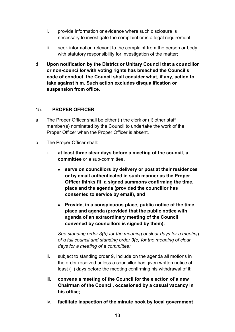- i. provide information or evidence where such disclosure is necessary to investigate the complaint or is a legal requirement;
- ii. seek information relevant to the complaint from the person or body with statutory responsibility for investigation of the matter:
- d **Upon notification by the District or Unitary Council that a councillor or non-councillor with voting rights has breached the Council's code of conduct, the Council shall consider what, if any, action to take against him. Such action excludes disqualification or suspension from office.**

#### <span id="page-17-0"></span>15. **PROPER OFFICER**

- a The Proper Officer shall be either (i) the clerk or (ii) other staff member(s) nominated by the Council to undertake the work of the Proper Officer when the Proper Officer is absent.
- b The Proper Officer shall:
	- i. **at least three clear days before a meeting of the council, a committee** or a sub-committee**,**
		- **serve on councillors by delivery or post at their residences or by email authenticated in such manner as the Proper Officer thinks fit, a signed summons confirming the time, place and the agenda (provided the councillor has consented to service by email), and**
		- **Provide, in a conspicuous place, public notice of the time, place and agenda (provided that the public notice with agenda of an extraordinary meeting of the Council convened by councillors is signed by them).**

*See standing order 3(b) for the meaning of clear days for a meeting of a full council and standing order 3(c) for the meaning of clear days for a meeting of a committee;*

- ii. subject to standing order 9, include on the agenda all motions in the order received unless a councillor has given written notice at least ( ) days before the meeting confirming his withdrawal of it;
- iii. **convene a meeting of the Council for the election of a new Chairman of the Council, occasioned by a casual vacancy in his office;**
- iv. **facilitate inspection of the minute book by local government**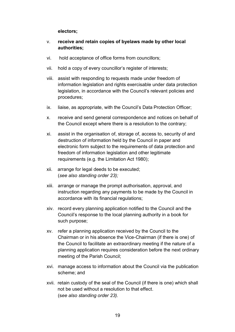#### **electors;**

#### v. **receive and retain copies of byelaws made by other local authorities;**

- vi. hold acceptance of office forms from councillors;
- vii. hold a copy of every councillor's register of interests;
- viii. assist with responding to requests made under freedom of information legislation and rights exercisable under data protection legislation, in accordance with the Council's relevant policies and procedures;
- ix. liaise, as appropriate, with the Council's Data Protection Officer;
- x. receive and send general correspondence and notices on behalf of the Council except where there is a resolution to the contrary;
- xi. assist in the organisation of, storage of, access to, security of and destruction of information held by the Council in paper and electronic form subject to the requirements of data protection and freedom of information legislation and other legitimate requirements (e.g. the Limitation Act 1980);
- xii. arrange for legal deeds to be executed; (*see also standing order 23);*
- xiii. arrange or manage the prompt authorisation, approval, and instruction regarding any payments to be made by the Council in accordance with its financial regulations;
- xiv. record every planning application notified to the Council and the Council's response to the local planning authority in a book for such purpose;
- xv. refer a planning application received by the Council to the Chairman or in his absence the Vice-Chairman (if there is one) of the Council to facilitate an extraordinary meeting if the nature of a planning application requires consideration before the next ordinary meeting of the Parish Council;
- xvi. manage access to information about the Council via the publication scheme; and
- xvii. retain custody of the seal of the Council (if there is one) which shall not be used without a resolution to that effect. (s*ee also standing order 23).*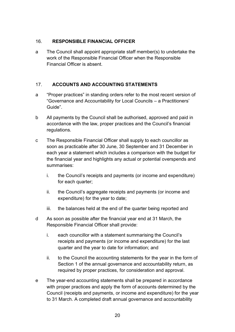# <span id="page-19-0"></span>16. **RESPONSIBLE FINANCIAL OFFICER**

a The Council shall appoint appropriate staff member(s) to undertake the work of the Responsible Financial Officer when the Responsible Financial Officer is absent.

# <span id="page-19-1"></span>17. **ACCOUNTS AND ACCOUNTING STATEMENTS**

- a "Proper practices" in standing orders refer to the most recent version of "Governance and Accountability for Local Councils – a Practitioners' Guide".
- b All payments by the Council shall be authorised, approved and paid in accordance with the law, proper practices and the Council's financial regulations.
- c The Responsible Financial Officer shall supply to each councillor as soon as practicable after 30 June, 30 September and 31 December in each year a statement which includes a comparison with the budget for the financial year and highlights any actual or potential overspends and summarises:
	- i. the Council's receipts and payments (or income and expenditure) for each quarter;
	- ii. the Council's aggregate receipts and payments (or income and expenditure) for the year to date;
	- iii. the balances held at the end of the quarter being reported and
- d As soon as possible after the financial year end at 31 March, the Responsible Financial Officer shall provide:
	- i. each councillor with a statement summarising the Council's receipts and payments (or income and expenditure) for the last quarter and the year to date for information; and
	- ii. to the Council the accounting statements for the year in the form of Section 1 of the annual governance and accountability return, as required by proper practices, for consideration and approval.
- e The year-end accounting statements shall be prepared in accordance with proper practices and apply the form of accounts determined by the Council (receipts and payments, or income and expenditure) for the year to 31 March. A completed draft annual governance and accountability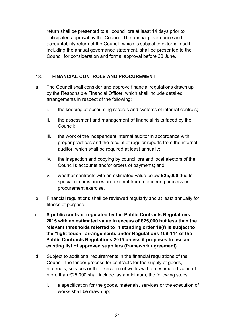return shall be presented to all councillors at least 14 days prior to anticipated approval by the Council. The annual governance and accountability return of the Council, which is subject to external audit, including the annual governance statement, shall be presented to the Council for consideration and formal approval before 30 June.

# <span id="page-20-0"></span>18. **FINANCIAL CONTROLS AND PROCUREMENT**

- a. The Council shall consider and approve financial regulations drawn up by the Responsible Financial Officer, which shall include detailed arrangements in respect of the following:
	- i. the keeping of accounting records and systems of internal controls;
	- ii. the assessment and management of financial risks faced by the Council;
	- iii. the work of the independent internal auditor in accordance with proper practices and the receipt of regular reports from the internal auditor, which shall be required at least annually;
	- iv. the inspection and copying by councillors and local electors of the Council's accounts and/or orders of payments; and
	- v. whether contracts with an estimated value below **£25,000** due to special circumstances are exempt from a tendering process or procurement exercise.
- b. Financial regulations shall be reviewed regularly and at least annually for fitness of purpose.
- c. **A public contract regulated by the Public Contracts Regulations 2015 with an estimated value in excess of £25,000 but less than the relevant thresholds referred to in standing order 18(f) is subject to the "light touch" arrangements under Regulations 109-114 of the Public Contracts Regulations 2015 unless it proposes to use an existing list of approved suppliers (framework agreement).**
- d. Subject to additional requirements in the financial regulations of the Council, the tender process for contracts for the supply of goods, materials, services or the execution of works with an estimated value of more than £25,000 shall include, as a minimum, the following steps:
	- i. a specification for the goods, materials, services or the execution of works shall be drawn up;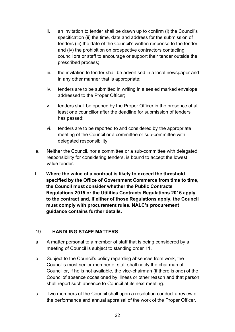- ii. an invitation to tender shall be drawn up to confirm (i) the Council's specification (ii) the time, date and address for the submission of tenders (iii) the date of the Council's written response to the tender and (iv) the prohibition on prospective contractors contacting councillors or staff to encourage or support their tender outside the prescribed process;
- iii. the invitation to tender shall be advertised in a local newspaper and in any other manner that is appropriate;
- iv. tenders are to be submitted in writing in a sealed marked envelope addressed to the Proper Officer;
- v. tenders shall be opened by the Proper Officer in the presence of at least one councillor after the deadline for submission of tenders has passed;
- vi. tenders are to be reported to and considered by the appropriate meeting of the Council or a committee or sub-committee with delegated responsibility.
- e. Neither the Council, nor a committee or a sub-committee with delegated responsibility for considering tenders, is bound to accept the lowest value tender.
- f. **Where the value of a contract is likely to exceed the threshold specified by the Office of Government Commerce from time to time, the Council must consider whether the Public Contracts Regulations 2015 or the Utilities Contracts Regulations 2016 apply to the contract and, if either of those Regulations apply, the Council must comply with procurement rules. NALC's procurement guidance contains further details.**

#### <span id="page-21-0"></span>19. **HANDLING STAFF MATTERS**

- a A matter personal to a member of staff that is being considered by a meeting of Council is subject to standing order 11.
- b Subject to the Council's policy regarding absences from work, the Council's most senior member of staff shall notify the chairman of Councillor, if he is not available, the vice-chairman (if there is one) of the Councilof absence occasioned by illness or other reason and that person shall report such absence to Council at its next meeting.
- c Two members of the Council shall upon a resolution conduct a review of the performance and annual appraisal of the work of the Proper Officer.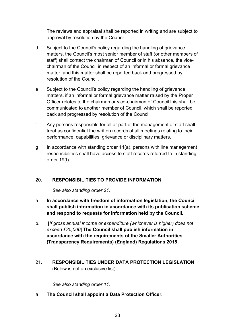The reviews and appraisal shall be reported in writing and are subject to approval by resolution by the Council.

- d Subject to the Council's policy regarding the handling of grievance matters, the Council's most senior member of staff (or other members of staff) shall contact the chairman of Council or in his absence, the vicechairman of the Council in respect of an informal or formal grievance matter, and this matter shall be reported back and progressed by resolution of the Council.
- e Subject to the Council's policy regarding the handling of grievance matters, if an informal or formal grievance matter raised by the Proper Officer relates to the chairman or vice-chairman of Council this shall be communicated to another member of Council, which shall be reported back and progressed by resolution of the Council.
- f Any persons responsible for all or part of the management of staff shall treat as confidential the written records of all meetings relating to their performance, capabilities, grievance or disciplinary matters.
- g In accordance with standing order 11(a), persons with line management responsibilities shall have access to staff records referred to in standing order 19(f).

#### <span id="page-22-0"></span>20. **RESPONSIBILITIES TO PROVIDE INFORMATION**

*See also standing order 21.*

- a **In accordance with freedom of information legislation, the Council shall publish information in accordance with its publication scheme and respond to requests for information held by the Council.**
- b. [*If gross annual income or expenditure (whichever is higher) does not exceed £25,000*] **The Council shall publish information in accordance with the requirements of the Smaller Authorities (Transparency Requirements) (England) Regulations 2015.**
- <span id="page-22-1"></span>21. **RESPONSIBILITIES UNDER DATA PROTECTION LEGISLATION**  (Below is not an exclusive list).

*See also standing order 11.*

a **The Council shall appoint a Data Protection Officer.**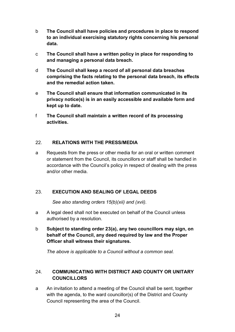- b **The Council shall have policies and procedures in place to respond to an individual exercising statutory rights concerning his personal data.**
- c **The Council shall have a written policy in place for responding to and managing a personal data breach.**
- d **The Council shall keep a record of all personal data breaches comprising the facts relating to the personal data breach, its effects and the remedial action taken.**
- e **The Council shall ensure that information communicated in its privacy notice(s) is in an easily accessible and available form and kept up to date.**
- f **The Council shall maintain a written record of its processing activities.**

# <span id="page-23-0"></span>22. **RELATIONS WITH THE PRESS/MEDIA**

a Requests from the press or other media for an oral or written comment or statement from the Council, its councillors or staff shall be handled in accordance with the Council's policy in respect of dealing with the press and/or other media.

# <span id="page-23-1"></span>23. **EXECUTION AND SEALING OF LEGAL DEEDS**

*See also standing orders 15(b)(xii) and (xvii).*

- a A legal deed shall not be executed on behalf of the Council unless authorised by a resolution.
- b **Subject to standing order 23(a), any two councillors may sign, on behalf of the Council, any deed required by law and the Proper Officer shall witness their signatures.**

*The above is applicable to a Council without a common seal.*

# <span id="page-23-2"></span>24. **COMMUNICATING WITH DISTRICT AND COUNTY OR UNITARY COUNCILLORS**

a An invitation to attend a meeting of the Council shall be sent, together with the agenda, to the ward councillor(s) of the District and County Council representing the area of the Council.